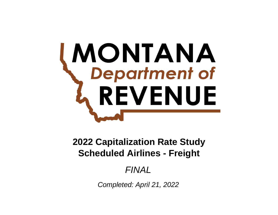# **MONTANA**<br>
Department of REVENUE

# **Scheduled Airlines - Freight 2022 Capitalization Rate Study**

# *FINAL*

*Completed: April 21, 2022*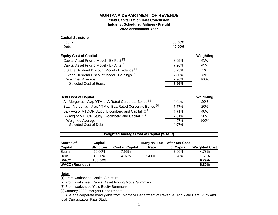#### **2022 Assessment Year Industry: Scheduled Airlines - Freight Yield Capitalization Rate Conclusion**

| Capital Structure <sup>[1]</sup>                                       |        |            |
|------------------------------------------------------------------------|--------|------------|
| Equity                                                                 | 60.00% |            |
| Debt                                                                   | 40.00% |            |
| <b>Equity Cost of Capital</b>                                          |        | Weighting  |
| Capital Asset Pricing Model - Ex Post <sup>[2]</sup>                   | 8.65%  | 45%        |
| Capital Asset Pricing Model - Ex Ante [2]                              | 7.26%  | 45%        |
| 3 Stage Dividend Discount Model - Dividends [3]                        | 8.75%  | 5%         |
| 3 Stage Dividend Discount Model - Earnings <sup>[3]</sup>              | 7.30%  | 5%         |
| <b>Weighted Average</b>                                                | 7.96%  | 100%       |
| Selected Cost of Equity                                                | 7.96%  |            |
|                                                                        |        |            |
| <b>Debt Cost of Capital</b>                                            |        | Weighting  |
| A - Mergent's - Avg. YTM of A Rated Corporate Bonds <sup>[4]</sup>     | 3.04%  | <b>20%</b> |
| Baa - Mergent's - Avg. YTM of Baa Rated Corporate Bonds <sup>[4]</sup> | 3.37%  | 20%        |
| Ba - Avg of MTDOR Study, Bloomberg and Capital IQ <sup>[5]</sup>       | 5.31%  | 40%        |
| B - Avg of MTDOR Study, Bloomberg and Capital IQ <sup>[5]</sup>        | 7.81%  | 20%        |
| <b>Weighted Average</b>                                                | 4.97%  | 100%       |
| Selected Cost of Debt                                                  | 4.97%  |            |
|                                                                        |        |            |

## **Weighted Average Cost of Capital (WACC)**

| Source of             | Capital          |                        | <b>Marginal Tax</b> | <b>After-tax Cost</b> |                      |
|-----------------------|------------------|------------------------|---------------------|-----------------------|----------------------|
| Capital               | <b>Structure</b> | <b>Cost of Capital</b> | Rate                | of Capital            | <b>Weighted Cost</b> |
| Equity                | 60.00%           | 7.96%                  |                     | 7.96%                 | 4.78%                |
| Debt                  | 40.00%           | 4.97%                  | 24.00%              | 3.78%                 | 1.51%                |
| <b>WACC</b>           | 100.00%          |                        |                     |                       | 6.29%                |
| <b>WACC (Rounded)</b> |                  |                        |                     |                       | 6.30%                |

#### **Notes**

[1] From worksheet: Capital Structure

[2] From worksheet: Capital Asset Pricing Model Summary

[3] From worksheet: Yield Equity Summary

[4] January 2022, Mergent Bond Record

[5] Average corporate bond yields from: Montana Department of Revenue High Yield Debt Study and Kroll Capitalization Rate Study.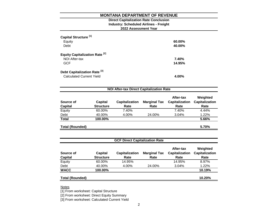#### **2022 Assessment Year Industry: Scheduled Airlines - Freight Direct Capitalization Rate Conclusion**

| Capital Structure <sup>[1]</sup><br>Equity<br>Debt                         | 60.00%<br>40.00% |
|----------------------------------------------------------------------------|------------------|
| Equity Capitalization Rate <sup>[2]</sup><br>NOI After-tax<br><b>GCF</b>   | 7.40%<br>14.95%  |
| Debt Capitalization Rate <sup>[3]</sup><br><b>Calculated Current Yield</b> | 4.00%            |

| Source of<br><b>Capital</b> | <b>Capital</b><br><b>Structure</b> | <b>Capitalization</b><br>Rate | <b>Marginal Tax</b><br>Rate | After-tax<br><b>Capitalization</b><br>Rate | Weighted<br><b>Capitalization</b><br>Rate |
|-----------------------------|------------------------------------|-------------------------------|-----------------------------|--------------------------------------------|-------------------------------------------|
| Equity                      | 60.00%                             | 7.40%                         |                             | 7.40%                                      | 4.44%                                     |
| Debt                        | 40.00%                             | 4.00%                         | 24.00%                      | 3.04%                                      | 1.22%                                     |
| <b>Total</b>                | 100.00%                            |                               |                             |                                            | 5.66%                                     |
| Total (Rounded)             |                                    |                               |                             |                                            | 5.70%                                     |

| <b>GCF Direct Capitalization Rate</b> |                                    |                               |                             |                                            |                                           |  |  |
|---------------------------------------|------------------------------------|-------------------------------|-----------------------------|--------------------------------------------|-------------------------------------------|--|--|
| Source of<br><b>Capital</b>           | <b>Capital</b><br><b>Structure</b> | <b>Capitalization</b><br>Rate | <b>Marginal Tax</b><br>Rate | After-tax<br><b>Capitalization</b><br>Rate | Weighted<br><b>Capitalization</b><br>Rate |  |  |
| Equity                                | 60.00%                             | 14.95%                        |                             | 14.95%                                     | 8.97%                                     |  |  |
| Debt                                  | 40.00%                             | 4.00%                         | 24.00%                      | 3.04%                                      | 1.22%                                     |  |  |
| <b>WACC</b>                           | 100.00%                            |                               |                             |                                            | 10.19%                                    |  |  |
| <b>Total (Rounded)</b>                |                                    |                               |                             |                                            | 10.20%                                    |  |  |

**Notes** 

[1] From worksheet: Capital Structure

[2] From worksheet: Direct Equity Summary

[3] From worksheet: Calculated Current Yield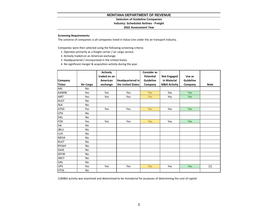**Selection of Guideline Companies**

**Industry: Scheduled Airlines - Freight**

#### **2022 Assessment Year**

#### **Screening Requirements:**

The universe of companies is all companies listed in Value Line under the air transport industry.

Companies were then selected using the following screening criteria:

- 1. Operates primarily as a freight carrier / air cargo service.
- 2. Actively traded on an American exchange.
- 3. Headquartered / incorporated in the United States
- 4. No significant merger & acquisition activity during the year.

|               |           | <b>Actively</b> |                         | <b>Consider as</b> |                         |                  |             |
|---------------|-----------|-----------------|-------------------------|--------------------|-------------------------|------------------|-------------|
|               |           | traded on an    |                         | <b>Potential</b>   | <b>Not Engaged</b>      | Use as           |             |
| Company       |           | American        | <b>Headquartered in</b> | Guideline          | in Material             | <b>Guideline</b> |             |
| <b>Ticker</b> | Air Cargo | exchange        | the United States       | Company            | <b>M&amp;A Activity</b> | Company          | <b>Note</b> |
| AAL           | <b>No</b> |                 |                         |                    |                         |                  |             |
| <b>AAWW</b>   | Yes       | Yes             | Yes                     | <b>Yes</b>         | Yes                     | Yes              |             |
| <b>AIRT</b>   | Yes       | Yes             | Yes                     | <b>Yes</b>         | Yes                     | Yes              |             |
| <b>ALGT</b>   | No        |                 |                         |                    |                         |                  |             |
| ALK           | <b>No</b> |                 |                         |                    |                         |                  |             |
| ATSG          | Yes       | Yes             | Yes                     | <b>Yes</b>         | Yes                     | <b>Yes</b>       |             |
| CPA           | <b>No</b> |                 |                         |                    |                         |                  |             |
| DAL           | No        |                 |                         |                    |                         |                  |             |
| <b>FDX</b>    | Yes       | Yes             | Yes                     | <b>Yes</b>         | Yes                     | Yes              |             |
| HA            | <b>No</b> |                 |                         |                    |                         |                  |             |
| <b>JBLU</b>   | <b>No</b> |                 |                         |                    |                         |                  |             |
| <b>LUV</b>    | No        |                 |                         |                    |                         |                  |             |
| <b>MESA</b>   | <b>No</b> |                 |                         |                    |                         |                  |             |
| <b>RLGT</b>   | <b>No</b> |                 |                         |                    |                         |                  |             |
| RYAAY         | <b>No</b> |                 |                         |                    |                         |                  |             |
| SAVE          | No        |                 |                         |                    |                         |                  |             |
| <b>SKYW</b>   | No        |                 |                         |                    |                         |                  |             |
| <b>SNCY</b>   | No        |                 |                         |                    |                         |                  |             |
| <b>UAL</b>    | <b>No</b> |                 |                         |                    |                         |                  |             |
| <b>UPS</b>    | Yes       | Yes             | Yes                     | <b>Yes</b>         | Yes                     | Yes              | $[1]$       |
| <b>VTOL</b>   | <b>No</b> |                 |                         |                    |                         |                  |             |

[1]M&A activity was examined and determined to be immaterial for purposes of determining the cost of capital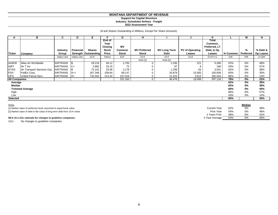#### **Support for Capital Structure Industry: Scheduled Airlines - Freight 2022 Assessment Year**

#### *(\$ and Shares Outstanding In Millions, Except Per Share Amounts)*

| А                          | в                                                                                                                    | C                                  | D                | Е.                                      | F.                                                 | G                                   | н                                   |                             | J                                | ĸ                                                         |            | М              | N                     |
|----------------------------|----------------------------------------------------------------------------------------------------------------------|------------------------------------|------------------|-----------------------------------------|----------------------------------------------------|-------------------------------------|-------------------------------------|-----------------------------|----------------------------------|-----------------------------------------------------------|------------|----------------|-----------------------|
| <b>Ticker</b>              | Company                                                                                                              | <b>Industry</b><br>Group           | <b>Financial</b> | <b>Shares</b><br>Strength   Outstanding | End of<br>Year<br>Closing<br><b>Stock</b><br>Price | <b>MV</b><br>Common<br><b>Stock</b> | <b>MV Preferred</b><br><b>Stock</b> | <b>MV Long Term</b><br>Debt | <b>PV of Operating</b><br>Leases | Total<br>Common,<br>Preferred, LT<br>Debt, & Op<br>Leases | % Common   | %<br>Preferred | % Debt &<br>Op Leases |
|                            |                                                                                                                      | Value Line                         | Value Line       | $10-K$                                  | Yahoo                                              | ExF                                 | $10-K$                              | $10-K$                      | $10-K$                           | $G+H+H+J$                                                 | G/K        | H/K            | (I+J)/K               |
|                            |                                                                                                                      |                                    |                  |                                         |                                                    |                                     | Note [1]                            | Note [2]                    |                                  |                                                           |            |                |                       |
| <b>AAWW</b><br><b>AIRT</b> | Atlas Air Worldwide<br>Air T Inc                                                                                     | <b>AIRTRANS</b><br><b>AIRTRANS</b> | - IB<br>$ C+$    | 29.216<br>2.882                         | 94.12<br>25.15                                     | 2,750<br>72                         | 0                                   | 2,295<br>87                 | 221<br>8                         | 5,266<br>168                                              | 52%<br>43% | 0%<br>0%       | 48%<br>57%            |
| <b>ATSG</b>                | Air Transport Services Grp.                                                                                          | <b>AIRTRANS</b>                    |                  | 74.142                                  | 29.38                                              | 2,178                               |                                     | 1,299                       | 63                               | 3,541                                                     | 62%        | 0%             | 38%                   |
| <b>FDX</b>                 | FedEx Corp.                                                                                                          | <b>AIRTRANS</b>                    | $AA++$           | 267.348                                 | 258.64                                             | 69,147                              |                                     | 20,879                      | 15,583                           | 105,609                                                   | 65%        | 0%             | 35%                   |
| <b>UPS</b>                 | United Parcel Serv.                                                                                                  | <b>AIRTRANS</b>                    | $AA+$            | 732.554                                 | 214.34                                             | 157,016                             |                                     | 21,915                      | 3,613                            | 182,544                                                   | 86%        | 0%             | 14%                   |
| <b>All Companies</b>       |                                                                                                                      |                                    |                  |                                         |                                                    | 231,163                             | $\mathbf{0}$                        | 46,476                      | 19,489                           | 297,128                                                   | 78%        | 0%             | 22%                   |
|                            | 62%<br>0%<br>38%<br>Average<br>Median<br>62%<br>0%<br>38%<br>0%<br>60%<br>40%<br><b>Trimmed Average</b>              |                                    |                  |                                         |                                                    |                                     |                                     |                             |                                  |                                                           |            |                |                       |
| High                       |                                                                                                                      |                                    |                  |                                         |                                                    |                                     |                                     |                             |                                  |                                                           | 86%        | 0%             | 57%                   |
| Low                        |                                                                                                                      |                                    |                  |                                         |                                                    |                                     |                                     |                             |                                  |                                                           | 43%        | 0%             | 14%                   |
| <b>Selected</b>            |                                                                                                                      |                                    |                  |                                         |                                                    |                                     |                                     |                             |                                  |                                                           | 60%        |                | 40%                   |
| <b>Notes</b>               | Median<br>62%<br>0%<br>38%<br><b>Current Year</b><br>[1] Market value of preferred stock assumed to equal book value |                                    |                  |                                         |                                                    |                                     |                                     |                             |                                  |                                                           |            |                |                       |

2 Years Prior 48% 0% 52%

[2] Market value of debt is fair value of long term debt from 10-K notes Prior Year 54% 0% 46% 46% 0% 46% 0% 54% 0% 54% 0% 54% 0% 54% 0% 54% 0% 54% 0% 54% 0% 54% 0% 54% 0% 54% 0% 54% 0% 54% 0% 54% 0% 54% 0.00 55% 0.00 57%

#### **MCA 15-1-210, rationale for changes to guideline companies:** 3 Year Average 3 Year Average 3 Year Average 54% 0% 46% 46%

2022 - No changes to guideline companies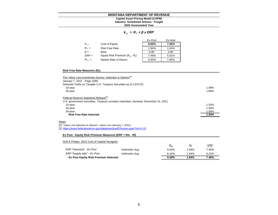#### **Industry: Scheduled Airlines - Freight Capital Asset Pricing Model (CAPM)**

**2022 Assessment Year**

#### *k e = R <sup>f</sup> + β x ERP*

|           |                                   | Ex Post | Ex Ante |
|-----------|-----------------------------------|---------|---------|
| $k_{e}$   | Cost of Equity                    | 8.65%   | 7.26%   |
| $R_f =$   | <b>Risk Free Rate</b>             | 1.94%   | 1.94%   |
| $\beta =$ | Beta                              | 0.90    | 0.90    |
| $ERP =$   | Equity Risk Premium $(R_m - R_f)$ | 7.46%   | 5.91%   |
| $R_m =$   | Market Rate of Return             | 9.40%   | 7.85%   |

#### **Risk Free Rate Measures (R<sup>f</sup> ):**

| The Value Line Investment Survey: Selection & Opinion <sup>[1]</sup>                 |       |
|--------------------------------------------------------------------------------------|-------|
| January 7, 2022 Page 2089                                                            |       |
| Selected Yields on Taxable U.S. Treasury Securities as of 12/27/21                   |       |
| 10-year                                                                              | 1.48% |
| 30-year                                                                              | 1.88% |
| Federal Reserve Statistical Release <sup>[2]</sup>                                   |       |
| U.S. government securities, Treasury constant maturities, Nominal, December 31, 2021 |       |
| 10-year                                                                              | 1.52% |
| 20-year                                                                              | 1.94% |
| 30-year                                                                              | 1.90% |
| <b>Risk Free Rate Selected</b>                                                       | 1.94% |
| Notes                                                                                |       |
| [1] "Value Line Selection & Opinion", Value Line (January 7, 2022)                   |       |
| [2] https://www.federalreserve.gov/datadownload/Choose.aspx?rel=H.15                 |       |
| Ex Post - Equity Risk Premium Measures (ERP = Rm - Rf)                               |       |

#### Duff & Phelps, 2022 Cost of Capital Navigator

|                                             |                 | $R_m$ | R,    | <b>ERP</b> |
|---------------------------------------------|-----------------|-------|-------|------------|
| ERP "Historical" - Ex Post                  | Arithmetic Avg. | 9.40% | 1.94% | 7.46%      |
| ERP "Supply-side" - Ex Post                 | Arithmetic Avg. | 8.16% | 1.94% | $6.22\%$   |
| <b>Ex Post Equity Risk Premium Selected</b> |                 | 9.40% | 1.94% | 7.46%      |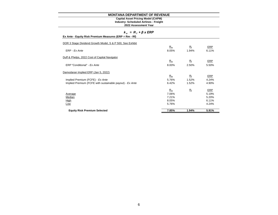#### **Industry: Scheduled Airlines - Freight Capital Asset Pricing Model (CAPM)**

#### **2022 Assessment Year**

| $k_e = R_i + \beta x ERP$                                 |       |             |       |  |  |  |
|-----------------------------------------------------------|-------|-------------|-------|--|--|--|
| Ex Ante - Equity Risk Premium Measures (ERP = Rm - Rf)    |       |             |       |  |  |  |
| DOR 3 Stage Dividend Growth Model, S & P 500, See Exhibit |       |             |       |  |  |  |
|                                                           | $R_m$ | $R_{\rm f}$ | ERP   |  |  |  |
| FRP - Fx Ante                                             | 8.05% | 1.94%       | 6.11% |  |  |  |
| Duff & Phelps, 2022 Cost of Capital Navigator             |       |             |       |  |  |  |
|                                                           | $R_m$ | $R_{\rm f}$ | ERP   |  |  |  |
| ERP "Conditional" - Ex Ante                               | 8.00% | 2.50%       | 5.50% |  |  |  |
| Damodaran Implied ERP (Jan 5, 2022)                       |       |             |       |  |  |  |
|                                                           | $R_m$ | $R_f$       | ERP   |  |  |  |
| Implied Premium (FCFE) - Ex Ante                          | 5.76% | 1.52%       | 4.24% |  |  |  |
| Implied Premium (FCFE with sustainable payout) - Ex Ante  | 6.42% | 1.52%       | 4.90% |  |  |  |
|                                                           | $R_m$ | $R_{\rm f}$ | ERP   |  |  |  |
| Average                                                   | 7.06% |             | 5.19% |  |  |  |
| Median                                                    | 7.21% |             | 5.20% |  |  |  |
| High                                                      | 8.05% |             | 6.11% |  |  |  |
| Low                                                       | 5.76% |             | 4.24% |  |  |  |
| <b>Equity Risk Premium Selected</b>                       | 7.85% | 1.94%       | 5.91% |  |  |  |

#### 6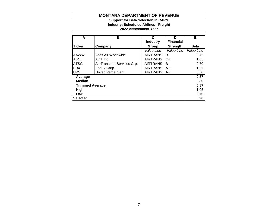#### **2022 Assessment Year Industry: Scheduled Airlines - Freight Support for Beta Selection in CAPM**

| A                      | в                           | C               | D                | Е           |
|------------------------|-----------------------------|-----------------|------------------|-------------|
|                        |                             | <b>Industry</b> | <b>Financial</b> |             |
| <b>Ticker</b>          | Company                     | Group           | <b>Strength</b>  | <b>Beta</b> |
|                        |                             | Value Line      | Value Line       | Value Line  |
| <b>AAWW</b>            | Atlas Air Worldwide         | <b>AIRTRANS</b> | B                | 0.75        |
| <b>AIRT</b>            | Air T Inc                   | <b>AIRTRANS</b> | C+               | 1.05        |
| <b>ATSG</b>            | Air Transport Services Grp. | <b>AIRTRANS</b> | в                | 0.70        |
| <b>FDX</b>             | FedEx Corp.                 | <b>AIRTRANS</b> | A++              | 1.05        |
| <b>UPS</b>             | United Parcel Serv.         | <b>AIRTRANS</b> | A+               | 0.80        |
| Average                |                             |                 |                  | 0.87        |
| <b>Median</b>          |                             |                 |                  | 0.80        |
| <b>Trimmed Average</b> |                             |                 |                  | 0.87        |
| High                   | 1.05                        |                 |                  |             |
| Low                    |                             |                 |                  | 0.70        |
| <b>Selected</b>        |                             |                 |                  | 0.90        |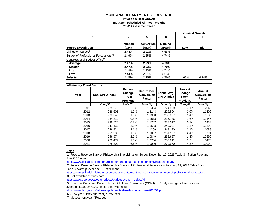#### **Inflation & Real Growth**

**Industry: Scheduled Airlines - Freight**

**2022 Assessment Year**

|                                                   |                    |                             |                          |       | <b>Nominal Growth</b> |
|---------------------------------------------------|--------------------|-----------------------------|--------------------------|-------|-----------------------|
| А                                                 | в                  | C                           | D                        | Е     | F                     |
| <b>Source Description</b>                         | Inflation<br>(CPI) | <b>Real Growth</b><br>(GDP) | <b>Nominal</b><br>Growth | Low   | High                  |
| Livingston Survey <sup>[1]</sup>                  | 2.44%              | 2.21%                       | 4.65%                    |       |                       |
| Survey of Professional Forecasters <sup>[2]</sup> | 2.49%              | 2.25%                       | 4.74%                    |       |                       |
| Congressional Budget Office <sup>[3]</sup>        |                    |                             |                          |       |                       |
| Average                                           | 2.47%              | 2.23%                       | 4.70%                    |       |                       |
| Median                                            | 2.47%              | 2.23%                       | 4.70%                    |       |                       |
| High                                              | 2.49%              | 2.25%                       | 4.74%                    |       |                       |
| Low                                               | 2.44%              | 2.21%                       | 4.65%                    |       |                       |
| <b>Selected</b>                                   | 2.45%              | 2.25%                       | 4.70%                    | 4.65% | 4.74%                 |

| <b>Inflationary Trend Factors</b> |                  |                                                            |                                                    |                                   |                                                            |                                              |
|-----------------------------------|------------------|------------------------------------------------------------|----------------------------------------------------|-----------------------------------|------------------------------------------------------------|----------------------------------------------|
| Year                              | Dec. CPI-U Index | <b>Percent</b><br>Change<br><b>From</b><br><b>Previous</b> | Dec. to Dec.<br><b>Conversion</b><br><b>Factor</b> | Annual Avg.<br><b>CPI-U Index</b> | <b>Percent</b><br>Change<br><b>From</b><br><b>Previous</b> | Annual<br><b>Conversion</b><br><b>Factor</b> |
|                                   | Note [5]         | Note [6]                                                   | Note [7]                                           | Note [5]                          | Note [6]                                                   | <b>Note [7]</b>                              |
| 2011                              | 225.672          | 2.9%                                                       | 1.2354                                             | 224.939                           | 3.1%                                                       | 1.2046                                       |
| 2012                              | 229.601          | 1.7%                                                       | 1.2143                                             | 229.594                           | 2.0%                                                       | 1.1802                                       |
| 2013                              | 233.049          | 1.5%                                                       | 1.1963                                             | 232.957                           | 1.4%                                                       | 1.1632                                       |
| 2014                              | 234.812          | 0.8%                                                       | 1.1873                                             | 236.736                           | 1.6%                                                       | 1.1446                                       |
| 2015                              | 236.525          | 0.7%                                                       | 1.1787                                             | 237.017                           | 0.1%                                                       | 1.1433                                       |
| 2016                              | 241.432          | 2.0%                                                       | 1.1548                                             | 240.007                           | 1.2%                                                       | 1.1290                                       |
| 2017                              | 246.524          | 2.1%                                                       | 1.1309                                             | 245.120                           | 2.1%                                                       | 1.1055                                       |
| 2018                              | 251.233          | 1.9%                                                       | 1.1097                                             | 251.107                           | 2.4%                                                       | 1.0791                                       |
| 2019                              | 256.974          | 2.2%                                                       | 1.0849                                             | 255.657                           | 1.8%                                                       | 1.0599                                       |
| 2020                              | 260.474          | 1.3%                                                       | 1.0704                                             | 258.811                           | 1.2%                                                       | 1.0470                                       |
| 2021                              | 278.802          | 6.6%                                                       | 1.0000                                             | 270.970                           | 4.5%                                                       | 1.0000                                       |

Notes

[1] Federal Reserve Bank of Philadelphia The Livingston Survey December 17, 2021 Table 3 Inflation Rate and Real GDP mean

<https://www.philadelphiafed.org/research-and-data/real-time-center/livingston-survey>

[2] Federal Reserve Bank of Philadelphia Survey of Professional Forecasters February 11, 2022 Table 8 and Table 9 Average over next 10-Year mean

<https://www.philadelphiafed.org/surveys-and-data/real-time-data-research/survey-of-professional-forecasters> [3] Not available at study date

<https://www.cbo.gov/about/products/budget-economic-data#4>

[5] Historical Consumer Price Index for All Urban Consumers (CPI-U): U.S. city average, all items, index averages (1982-84=100, unless otherwise noted)

<https://www.bls.gov/cpi/tables/supplemental-files/historical-cpi-u-202001.pdf>

[6] (Row year - Previous Year) / Row Year

[7] Most current year / Row year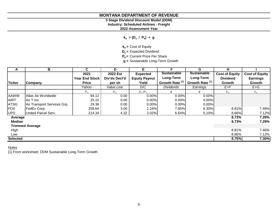# **3 Stage Dividend Discount Model (DDM)**

**Industry: Scheduled Airlines - Freight**

**2022 Assessment Year**

**ke = (D<sup>1</sup> / P<sup>0</sup> ) + g**

**ke =** Cost of Equity

**D1 =** Expected Dividend

**P0 =** Current Price Per Share

**g =** Sustainable Long-Term Growth

| A               | В                           | C                     | D                 | E.                   | F                          | G                          | н                     |                       |
|-----------------|-----------------------------|-----------------------|-------------------|----------------------|----------------------------|----------------------------|-----------------------|-----------------------|
|                 |                             | 2021                  | 2022 Est          | <b>Expected</b>      | <b>Sustainable</b>         | <b>Sustainable</b>         | <b>Cost of Equity</b> | <b>Cost of Equity</b> |
|                 |                             | <b>Year End Stock</b> | Div'ds Decl'd     | <b>Equity Payout</b> | Long-Term                  | Long-Term                  | <b>Dividend</b>       | <b>Earnings</b>       |
| <b>Ticker</b>   | Company                     | <b>Price</b>          | per sh            | Yield                | Growth Rate <sup>[1]</sup> | Growth Rate <sup>[1]</sup> | Growth                | Growth                |
|                 |                             | Yahoo                 | Value Line        | D/C                  | <b>Dividends</b>           | Earnings                   | E+F                   | $E+G$                 |
|                 |                             | $P_0$                 | $D_1$             | $D_1/P_0$            | g                          | g                          | $k_{e}$               | $k_{\rm e}$           |
| <b>AAWW</b>     | Atlas Air Worldwide         | 94.12                 | 0.00              | 0.00%                | 0.00%                      | $0.00\%$                   |                       |                       |
| <b>AIRT</b>     | Air T Inc                   | 25.15                 | 0.00              | 0.00%                | 0.00%                      | 0.00%                      |                       |                       |
| <b>ATSG</b>     | Air Transport Services Grp. | 29.38                 | 0.00              | 0.00%                | 0.00%                      | $0.00\%$                   |                       |                       |
| <b>FDX</b>      | FedEx Corp.                 | 258.64                | 3.00 <sub>1</sub> | 1.16%                | 7.65%                      | 6.30%                      | 8.81%                 | 7.46%                 |
| <b>UPS</b>      | United Parcel Serv.         | 214.34                | 4.32              | 2.02%                | 6.64%                      | 5.10%                      | 8.66%                 | 7.12%                 |
| Average         |                             |                       |                   |                      |                            |                            | 8.73%                 | 7.29%                 |
| <b>Median</b>   |                             |                       |                   |                      |                            |                            | 8.73%                 | 7.29%                 |
|                 | <b>Trimmed Average</b>      |                       |                   |                      |                            |                            |                       |                       |
| High            |                             |                       |                   |                      |                            |                            | 8.81%                 | 7.46%                 |
| Low             |                             |                       |                   |                      |                            |                            | 8.66%                 | 7.12%                 |
| <b>Selected</b> |                             |                       |                   |                      |                            |                            | 8.75%                 | 7.30%                 |

**Notes** 

[1] From worksheet: DDM Sustainable Long-Term Growth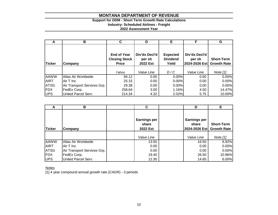# **Support for DDM - Short Term Growth Rate Calculations**

**Industry: Scheduled Airlines - Freight**

**2022 Assessment Year**

| A           | В                           | C                                                          | D                                   | Е                                           | F                                        | G                                       |
|-------------|-----------------------------|------------------------------------------------------------|-------------------------------------|---------------------------------------------|------------------------------------------|-----------------------------------------|
| Ticker      | Company                     | <b>End of Year</b><br><b>Closing Stock</b><br><b>Price</b> | Div'ds Decl'd<br>per sh<br>2022 Est | <b>Expected</b><br><b>Dividend</b><br>Yield | Div'ds Decl'd<br>per sh<br>2024-2026 Est | <b>Short-Term</b><br><b>Growth Rate</b> |
|             |                             |                                                            |                                     |                                             |                                          |                                         |
|             |                             | Yahoo                                                      | Value Line                          | D/C                                         | Value Line                               | Note [1]                                |
| <b>AAWW</b> | Atlas Air Worldwide         | 94.12                                                      | 0.00                                | 0.00%                                       | 0.00                                     | 0.00%                                   |
| <b>AIRT</b> | Air T Inc                   | 25.15                                                      | 0.00                                | 0.00%                                       | 0.00                                     | 0.00%                                   |
| <b>ATSG</b> | Air Transport Services Grp. | 29.38                                                      | 0.00                                | 0.00%                                       | 0.00                                     | 0.00%                                   |
| <b>IFDX</b> | FedEx Corp.                 | 258.64                                                     | 3.00                                | 1.16%                                       | 4.50                                     | 14.47%                                  |
| <b>UPS</b>  | United Parcel Serv.         | 214.34                                                     | 4.32                                | 2.02%                                       | 5.75                                     | 10.00%                                  |

|               | в                           | C                                        | D                                             | Е                                       |
|---------------|-----------------------------|------------------------------------------|-----------------------------------------------|-----------------------------------------|
| <b>Ticker</b> | Company                     | <b>Earnings per</b><br>share<br>2022 Est | <b>Earnings per</b><br>share<br>2024-2026 Est | <b>Short-Term</b><br><b>Growth Rate</b> |
|               |                             | Value Line                               | Value Line                                    | Note [1]                                |
| <b>AAWW</b>   | Atlas Air Worldwide         | 13.50                                    | 16.50                                         | 6.92%                                   |
| <b>AIRT</b>   | Air T Inc                   | 0.00                                     | 0.00                                          | 0.00%                                   |
| <b>ATSG</b>   | Air Transport Services Grp. | 0.00                                     | 0.00                                          | 0.00%                                   |
| <b>FDX</b>    | FedEx Corp.                 | 19.40                                    | 26.50                                         | 10.96%                                  |
| <b>UPS</b>    | United Parcel Serv.         | 12.30                                    | 14.65                                         | 6.00%                                   |

**Notes** 

[1] 4 year compound annual growth rate (CAGR) - 3 periods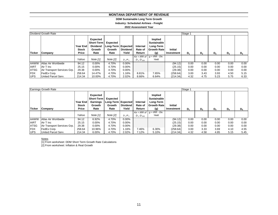#### **DDM Sustainable Long Term Growth**

**Industry: Scheduled Airlines - Freight**

**2022 Assessment Year**

|             | Dividend Growth Rate        |                                   |                                                                    |                                                  |                          |                               |                                                                         |                              | Stage 1 |                |       |       |       |
|-------------|-----------------------------|-----------------------------------|--------------------------------------------------------------------|--------------------------------------------------|--------------------------|-------------------------------|-------------------------------------------------------------------------|------------------------------|---------|----------------|-------|-------|-------|
| Ticker      | Company                     | Year End<br><b>Stock</b><br>Price | Expected<br><b>Short-Term</b><br><b>Dividend</b><br>Growth<br>Rate | Expected<br>Long-Term Expected<br>Growth<br>Rate | <b>Dividend</b><br>Yield | Internal<br>Rate of<br>Return | Implied<br><b>Sustainable</b><br>Long-Term<br><b>Growth Rate</b><br>(g) | <b>Initial</b><br>Investment | $D_1$   | D <sub>2</sub> | $D_3$ | $D_4$ | $D_5$ |
|             |                             |                                   |                                                                    |                                                  |                          | $Ke = IRR$ of                 | $q = IRR - Div.$                                                        |                              |         |                |       |       |       |
|             |                             | Yahoo                             | Note [1]                                                           | Note $[2]$                                       | $D_1/P_0$                | $D_1:D_{500}$                 | Yield                                                                   |                              |         |                |       |       |       |
| <b>AAWW</b> | Atlas Air Worldwide         | 94.12                             | 0.00%                                                              | 4.70%                                            | $0.00\%$                 |                               |                                                                         | (94.12)                      | 0.00    | 0.00           | 0.00  | 0.00  | 0.00  |
| <b>AIRT</b> | Air T Inc                   | 25.15                             | 0.00%                                                              | 4.70%                                            | $0.00\%$                 |                               |                                                                         | (25.15)                      | 0.00    | 0.00           | 0.00  | 0.00  | 0.00  |
| <b>ATSG</b> | Air Transport Services Grp. | 29.38                             | 0.00%                                                              | 4.70%                                            | $0.00\%$                 |                               |                                                                         | (29.38)                      | 0.00    | 0.00           | 0.00  | 0.00  | 0.00  |
| <b>FDX</b>  | FedEx Corp.                 | 258.64                            | 14.47%                                                             | 4.70%                                            | .16%                     | 8.81%                         | 7.65%                                                                   | (258.64)                     | 3.00    | 3.43           | 3.93  | 4.50  | 5.15  |
| <b>UPS</b>  | United Parcel Serv.         | 214.34                            | 10.00%                                                             | 4.70%                                            | 2.02%                    | 8.66%                         | 6.64%                                                                   | (214.34)                     | 4.32    | 4.75           | 5.23  | 5.75  | 6.33  |

|             | Earnings Growth Rate        |                                          |                                                                    |                                                  |                          |                                  |                                                                         |                              | Stage 1 |      |       |       |       |
|-------------|-----------------------------|------------------------------------------|--------------------------------------------------------------------|--------------------------------------------------|--------------------------|----------------------------------|-------------------------------------------------------------------------|------------------------------|---------|------|-------|-------|-------|
| Ticker      | Company                     | <b>Year End</b><br><b>Stock</b><br>Price | <b>Expected</b><br>Short-Term<br><b>Earnings</b><br>Growth<br>Rate | Expected<br>Long-Term Expected<br>Growth<br>Rate | <b>Dividend</b><br>Yield | Internal<br>Rate of<br>Return    | Implied<br><b>Sustainable</b><br>Long-Term<br><b>Growth Rate</b><br>(g) | <b>Initial</b><br>Investment | D,      | D,   | $D_3$ | $D_4$ | $D_5$ |
|             |                             |                                          |                                                                    |                                                  |                          |                                  | $Ke = IRR$ of $g = I\overline{RR} - \overline{Div}$ .                   |                              |         |      |       |       |       |
|             |                             | Yahoo                                    | Note [1]                                                           | Note [2]                                         | $D_1/P_0$                | D <sub>1</sub> :D <sub>500</sub> | Yield                                                                   |                              |         |      |       |       |       |
| <b>AAWW</b> | Atlas Air Worldwide         | 94.12                                    | 6.92%                                                              | 4.70%                                            | $0.00\%$                 |                                  |                                                                         | (94.12)                      | 0.00    | 0.00 | 0.00  | 0.00  | 0.00  |
| <b>AIRT</b> | Air T Inc                   | 25.15                                    | $0.00\%$                                                           | 4.70%                                            | $0.00\%$                 |                                  |                                                                         | (25.15)                      | 0.00    | 0.00 | 0.00  | 0.00  | 0.00  |
| <b>ATSG</b> | Air Transport Services Grp. | 29.38                                    | $0.00\%$                                                           | 4.70%                                            | $0.00\%$                 |                                  |                                                                         | (29.38)                      | 0.00    | 0.00 | 0.00  | 0.00  | 0.00  |
| <b>IFDX</b> | FedEx Corp.                 | 258.64                                   | 10.96%                                                             | 4.70%                                            | 1.16%                    | 7.46%                            | 6.30%                                                                   | (258.64)                     | 3.00    | 3.33 | 3.69  | 4.10  | 4.55  |
| <b>UPS</b>  | United Parcel Serv.         | 214.34                                   | 6.00%                                                              | 4.70%                                            | 2.02%                    | 7.12%                            | 5.10%                                                                   | (214.34)                     | 4.32    | 4.58 | 4.85  | 5.15  | 5.45  |

#### Notes

[1] From worksheet: DDM Short Term Growth Rate Calculations [2] From worksheet: Inflation & Real Growth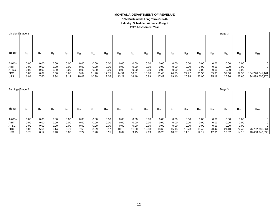#### **MONTANA DEPARTMENT OF REVENUE MONTANA DEPARTMENT OF REVENUE**

**DDM Sustainable Long Term Growth DDM Sustainable Long Term Growth**

**Industry: Scheduled Airlines - Freight Industry: Scheduled Airlines - Freight**

**2022 Assessment Year 2022 Assessment Year**

| Dividend Stage 2 |         |                |             |                |          |          |          |          |          |          |          |          |          |          |          | Stage 3  |          |                 |
|------------------|---------|----------------|-------------|----------------|----------|----------|----------|----------|----------|----------|----------|----------|----------|----------|----------|----------|----------|-----------------|
| Ticker           | $D_{6}$ | D <sub>7</sub> | $D_{\rm R}$ | D <sub>a</sub> | $D_{10}$ | $D_{11}$ | $D_{12}$ | $D_{13}$ | $D_{14}$ | $D_{15}$ | $D_{16}$ | $D_{17}$ | $D_{18}$ | $D_{19}$ | $D_{20}$ | $D_{21}$ | $D_{22}$ | $D_{500}$       |
| <b>AAWW</b>      | 0.00    | 0.00           | 0.00        | 0.00           | 0.00     | 0.00     | 0.00     | 0.00     | 0.00     | 0.00     | 0.00     | 0.00     | 0.00     | 0.00     | 0.00     | 0.00     | 0.00     | 0               |
| <b>AIRT</b>      | 0.00    | 0.00           | 0.00        | 0.00           | 0.00     | 0.00     | 0.00     | 0.00     | 0.00     | 0.00     | 0.00     | 0.00     | 0.00     | 0.00     | 0.00     | 0.00     | 0.00     |                 |
| <b>ATSG</b>      | 0.00    | 0.00           | 0.00        | 0.00           | 0.00     | 0.00     | 0.00     | 0.00     | 0.00     | 0.00     | 0.00     | 0.00     | 0.00     | 0.00     | 0.00     | 0.00     | 0.00     |                 |
| <b>FDX</b>       | 5.86    | 6.67           | 7.60        | 8.65           | 9.84     | 11.20    | 12.75    | 14.51    | 16.51    | 18.80    | 21.40    | 24.35    | 27.72    | 31.55    | 35.91    | 37.60    | 39.36    | 134,770,641,161 |
| <b>UPS</b>       | 6.94    | 7.60           | 8.34        | 9.14           | 10.02    | 10.99    | 12.05    | 13.21    | 14.49    | 15.89    | 17.42    | 19.10    | 20.94    | 22.96    | 25.18    | 26.36    | 27.60    | 94,499,506,175  |

| Earnings Stage 2 |         |                |       |         |          |          |          |          |          |          |          |          |          |          |          | Stage 3  |          |                |
|------------------|---------|----------------|-------|---------|----------|----------|----------|----------|----------|----------|----------|----------|----------|----------|----------|----------|----------|----------------|
| <b>Ticker</b>    | $D_{6}$ | D <sub>7</sub> | $D_8$ | $D_{9}$ | $D_{10}$ | $D_{11}$ | $D_{12}$ | $D_{13}$ | $D_{14}$ | $D_{15}$ | $D_{16}$ | $D_{17}$ | $D_{18}$ | $D_{19}$ | $D_{20}$ | $D_{21}$ | $D_{22}$ | $D_{500}$      |
|                  |         |                |       |         |          |          |          |          |          |          |          |          |          |          |          |          |          |                |
| <b>AAWW</b>      | 0.00    | 0.00           | 0.00  | 0.00    | 0.00     | 0.00     | 0.00     | 0.00     | 0.00     | 0.00     | 0.00     | 0.00     | 0.00     | 0.00     | 0.00     | 0.00     | 0.00     | 0              |
| AIRT             | 0.00    | 0.00           | 0.00  | 0.00    | 0.00     | 0.00     | 0.00     | 0.00     | 0.00     | 0.00     | 0.00     | 0.00     | 0.00     | 0.00     | 0.00     | 0.00     | 0.00     | 0              |
| <b>ATSG</b>      | 0.00    | 0.00           | 0.00  | 0.00    | 0.00     | 0.00     | 0.00     | 0.00     | 0.00     | 0.00     | 0.00     | 0.00     | 0.00     | 0.00     | 0.00     | 0.00     | 0.00     | 0              |
| <b>FDX</b>       | 5.03    | 5.56           | 6.14  | 6.79    | 7.50     | 8.29     | 9.17     | 10.13    | 11.20    | 12.38    | 13.69    | 15.13    | 16.73    | 18.49    | 20.44    | 21.40    | 22.40    | 76,702,785,364 |
| <b>IUPS</b>      | 5.78    | 6.12           | 6.48  | 6.86    | 7.27     | 7.70     | 8.15     | 8.64     | 9.15     | 9.69     | 10.26    | 10.87    | 11.51    | 12.19    | 12.91    | 13.52    | 14.16    | 48,468,940,093 |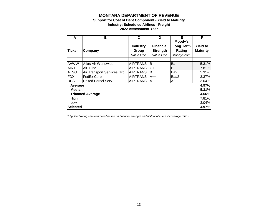# **Support for Cost of Debt Component - Yield to Maturity**

**Industry: Scheduled Airlines - Freight**

#### **2022 Assessment Year**

| A               | В                           | C                        | D                                   | Е                                     | F                                  |
|-----------------|-----------------------------|--------------------------|-------------------------------------|---------------------------------------|------------------------------------|
| <b>Ticker</b>   | Company                     | <b>Industry</b><br>Group | <b>Financial</b><br><b>Strength</b> | Moody's<br><b>Long Term</b><br>Rating | <b>Yield to</b><br><b>Maturity</b> |
|                 |                             | Value Line               | Value Line                          | Moodys.com                            |                                    |
| <b>AAWW</b>     | Atlas Air Worldwide         | <b>AIRTRANS</b>          | B                                   | Ba                                    | 5.31%                              |
| <b>AIRT</b>     | Air T Inc                   | <b>AIRTRANS</b>          | C+                                  | Β                                     | 7.81%                              |
| <b>ATSG</b>     | Air Transport Services Grp. | <b>AIRTRANS</b>          | B                                   | Ba2                                   | 5.31%                              |
| <b>FDX</b>      | FedEx Corp.                 | <b>AIRTRANS</b>          | $A++$                               | Baa2                                  | 3.37%                              |
| <b>UPS</b>      | United Parcel Serv.         | <b>AIRTRANS</b>          | lA+                                 | A <sub>2</sub>                        | 3.04%                              |
| Average         |                             |                          |                                     |                                       | 4.97%                              |
| <b>Median</b>   |                             |                          |                                     |                                       | 5.31%                              |
|                 | <b>Trimmed Average</b>      |                          |                                     |                                       | 4.66%                              |
| High            |                             |                          |                                     |                                       | 7.81%                              |
| Low             |                             |                          |                                     |                                       | 3.04%                              |
| <b>Selected</b> |                             |                          |                                     |                                       | 4.97%                              |

*\*Highlited ratings are estimated based on financial strength and historical interest coverage ratios*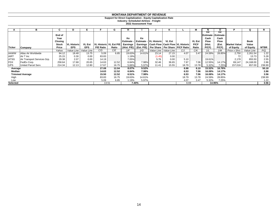#### **Support for Direct Capitalization - Equity Capitalization Rate**

**Industry: Scheduled Airlines - Freight**

**2022 Assessment Year**

|             | в                           | C.              | D                  |                         |                  | G                        |                  |        |                                                |                         |                                               |                              | N                                 |                     |                     |             |        |
|-------------|-----------------------------|-----------------|--------------------|-------------------------|------------------|--------------------------|------------------|--------|------------------------------------------------|-------------------------|-----------------------------------------------|------------------------------|-----------------------------------|---------------------|---------------------|-------------|--------|
|             |                             | End of          |                    |                         |                  |                          |                  |        |                                                |                         |                                               |                              | Κe<br><b>IEstimate - Estimate</b> | Ke                  |                     |             |        |
|             |                             | Year<br>Closing |                    |                         |                  |                          | Ke<br>Estimate - | Ke     | Estimate - IVL Historic                        | <b>VL Est</b>           |                                               |                              | Cash<br><b>Flow</b>               | Cash<br><b>Flow</b> |                     | <b>Book</b> |        |
|             |                             | Stock           | <b>VL Historic</b> | VL Est                  |                  | VL Historic   VL Est P/E | <b>Earnings</b>  |        | Earnings   Cash Flow   Cash Flow   VL Historic |                         |                                               | <b>VL Est</b><br><b>P/CF</b> | (Hist.                            | (Est.               | <b>Market Value</b> | Value       |        |
| Ticker      | Company                     | Price           | <b>EPS</b>         | <b>EPS</b>              | <b>P/E Ratio</b> | Ratio                    | (Hist. P/E)      |        |                                                |                         | (Est. P/E) Per Share   Per Share   P/CF Ratio | Ratio                        | P(CF)                             | $P$ / $CF$ )        | of Equity           | of Equity   | MTBR   |
|             |                             | Yahoo           |                    | Value Line   Value Line | C/D              | C/E                      | 1/F              | 1/G    |                                                | Value Line   Value Line | C/J                                           | C/K                          | 1/L                               | 1/M                 | Price x Shrs        | Value Line  | P/Q    |
| <b>AAWW</b> | Atlas Air Worldwide         | 94.12           | 18.48              | 13.75                   | 5.09             | 6.85                     | 19.63%           | 14.61% | 23.14                                          | 27.15                   | 4.07                                          | 3.47                         | 24.59%                            | 28.85%              | 2,750               | 2,261.54    | 1.22   |
| <b>AIRT</b> | Air T Inc                   | 25.15           | 0.30               | 0.00                    | 83.83            |                          | 1.19%            |        | (1.45)                                         | $0.00\,$                |                                               |                              |                                   |                     | 72                  | 13.73       | 5.28   |
| <b>ATSG</b> | Air Transport Services Grp. | 29.38           | 2.07               | 0.00                    | 14.19            |                          | 7.05%            |        | 5.76                                           | 0.00                    | 5.10                                          |                              | 19.61%                            |                     | 2,178               | 855.50      | 2.55   |
| <b>FDX</b>  | FedEx Corp.                 | 258.64          | 17.68              | 20.65                   | 14.63            | 12.52                    | 6.84%            | 7.98%  | 32.46                                          | 36.65                   | 7.97                                          | 7.06                         | 12.55%                            | 14.17%              | 69,147              | 24,168.00   | 2.86   |
| <b>UPS</b>  | United Parcel Serv.         | 214.34          | 12.13              | 12.80                   | 17.67            | 16.75                    | 5.66%            | 5.97%  | 11.41                                          | 15.55                   | 18.79                                         | 13.78                        | 5.32%                             | 7.25%               | 157,016             | 657.00      | 238.99 |
| Average     |                             |                 |                    |                         | 27.08            | 12.04                    | 8.07%            | 9.52%  |                                                |                         | 8.98                                          | 8.10                         | 15.52%                            | 16.76%              |                     |             | 50.18  |
| Median      |                             |                 |                    |                         | 14.63            | 12.52                    | 6.84%            | 7.98%  |                                                |                         | 6.53                                          | 7.06                         | 16.08%                            | 14.17%              |                     |             | 2.86   |
|             | <b>Trimmed Average</b>      |                 |                    |                         | 15.50            | 12.52                    | 6.51%            | 7.98%  |                                                |                         | 6.53                                          | 7.06                         | 16.08%                            | 14.17%              |                     |             | 3.56   |
| High        |                             |                 |                    |                         | 83.83            | 16.75                    | 19.63%           | 14.61% |                                                |                         | 18.79                                         | 13.78                        | 24.59%                            | 28.85%              |                     |             | 238.99 |
| Low         |                             |                 |                    |                         | 5.09             | 6.85                     | 1.19%            | 5.97%  |                                                |                         | 4.07                                          | 3.47                         | 5.32%                             | 7.25%               |                     |             | 1.22   |
| Selected    |                             |                 |                    |                         | 13.51            |                          |                  | 7.40%  |                                                |                         | 6.69                                          |                              | 14.95%                            |                     |                     |             | 3.56   |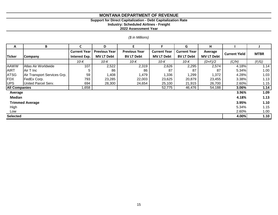# **Support for Direct Capitalization - Debt Capitalization Rate**

**Industry: Scheduled Airlines - Freight**

**2022 Assessment Year**

# *(\$ in Millions)*

| A                    | B                           | C                    | D                    | E.                   |                     | G                   | н                 |                      |             |
|----------------------|-----------------------------|----------------------|----------------------|----------------------|---------------------|---------------------|-------------------|----------------------|-------------|
|                      |                             | <b>Current Year</b>  | <b>Previous Year</b> | <b>Previous Year</b> | <b>Current Year</b> | <b>Current Year</b> | Average           | <b>Current Yield</b> | <b>MTBR</b> |
| <b>Ticker</b>        | Company                     | <b>Interest Exp.</b> | <b>MV LT Debt</b>    | <b>BV LT Debt</b>    | <b>MV LT Debt</b>   | <b>BV LT Debt</b>   | <b>MV LT Debt</b> |                      |             |
|                      |                             | 10-K                 | $10-K$               | 10-K                 | 10-K                | 10-K                | $(D+F)/2$         | (C/H)                | (F/G)       |
| <b>AAWW</b>          | Atlas Air Worldwide         | 107                  | 2,522                | 2,319                | 2,626               | 2,295               | 2,574             | 4.18%                | 1.14        |
| <b>AIRT</b>          | Air T Inc                   | 5                    | 86                   | 86                   | 87                  | 87                  | 87                | 5.34%                | 1.00        |
| <b>ATSG</b>          | Air Transport Services Grp. | 59                   | 1,408                | 1,479                | 1,336               | 1,299               | 1,372             | 4.28%                | 1.03        |
| <b>FDX</b>           | FedEx Corp.                 | 793                  | 23,285               | 22,003               | 23,625              | 20,879              | 23,455            | 3.38%                | 1.13        |
| <b>UPS</b>           | United Parcel Serv.         | 694                  | 28,300               | 24,654               | 25,100              | 21,915              | 26,700            | 2.60%                | 1.15        |
| <b>All Companies</b> |                             | 1,658                |                      |                      | 52,775              | 46,476              | 54,188            | 3.06%                | 1.14        |
| Average              |                             |                      |                      |                      |                     |                     |                   | 3.96%                | 1.09        |
| Median               |                             |                      |                      |                      |                     |                     |                   | 4.18%                | 1.13        |
|                      | <b>Trimmed Average</b>      |                      |                      |                      |                     |                     |                   | 3.95%                | 1.10        |
| High                 |                             |                      |                      |                      |                     |                     |                   | 5.34%                | 1.15        |
| Low                  |                             |                      |                      |                      |                     |                     |                   | 2.60%                | 1.00        |
| <b>Selected</b>      |                             |                      |                      |                      |                     |                     |                   | 4.00%                | 1.10        |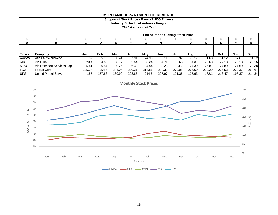**Support of Stock Price - From YAHOO Finance**

**Industry: Scheduled Airlines - Freight**

**2022 Assessment Year**

|               |                             | <b>End of Period Closing Stock Price</b> |        |        |        |        |        |        |        |        |        |        |        |
|---------------|-----------------------------|------------------------------------------|--------|--------|--------|--------|--------|--------|--------|--------|--------|--------|--------|
|               |                             |                                          |        |        |        |        | ŏ      |        | 10     |        | 12     | 13     | 14     |
| A             | в                           |                                          | D      | Е      |        | G      | н.     |        |        | Κ      |        | М      | N      |
|               |                             |                                          |        |        |        |        |        |        |        |        |        |        |        |
| <b>Ticker</b> | Company                     | Jan.                                     | Feb.   | Mar.   | Apr.   | May.   | Jun.   | Jul.   | Aug.   | Sep.   | Oct.   | Nov.   | Dec.   |
| <b>AAWW</b>   | Atlas Air Worldwide         | 51.82                                    | 55.13  | 60.44  | 67.91  | 74.93  | 68.11  | 66.97  | 73.17  | 81.68  | 81.12  | 87.61  | 94.12  |
| <b>AIRT</b>   | Air T Inc                   | 20.4                                     | 24.56  | 23.77  | 22.54  | 23.24  | 24.71  | 30.63  | 34.31  | 28.68  | 27.13  | 26.13  | 25.15  |
| <b>ATSG</b>   | Air Transport Services Grp. | 25.41                                    | 26.54  | 29.26  | 26.32  | 24.84  | 23.23  | 24.2   | 27.39  | 25.81  | 24.89  | 24.69  | 29.38  |
| <b>IFDX</b>   | FedEx Corp.                 | 235.34                                   | 254.5  | 284.04 | 290.31 | 314.81 | 298.33 | 279.95 | 265.69 | 219.29 | 235.53 | 230.37 | 258.64 |
| <b>IUPS</b>   | United Parcel Serv.         | 155                                      | 157.83 | 169.99 | 203.86 | 214.6  | 207.97 | 191.36 | 195.63 | 182.1  | 213.47 | 198.37 | 214.34 |